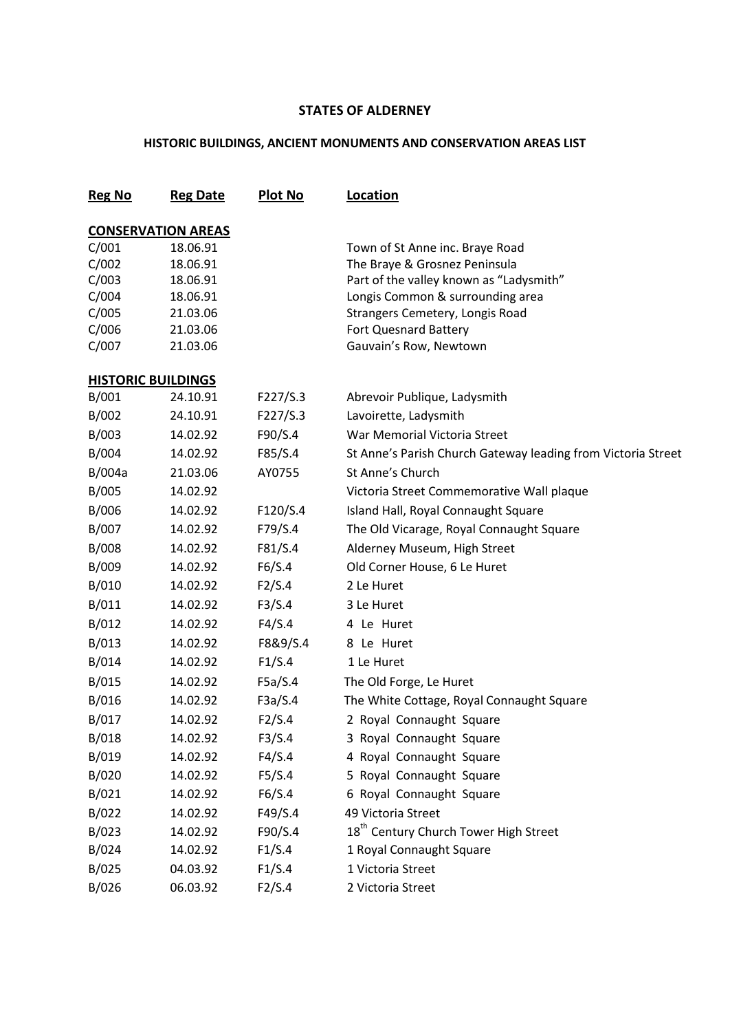## **STATES OF ALDERNEY**

## **HISTORIC BUILDINGS, ANCIENT MONUMENTS AND CONSERVATION AREAS LIST**

| <b>Reg No</b> | <b>Reg Date</b>           | <b>Plot No</b> | Location                                                     |
|---------------|---------------------------|----------------|--------------------------------------------------------------|
|               | <b>CONSERVATION AREAS</b> |                |                                                              |
| C/001         | 18.06.91                  |                | Town of St Anne inc. Braye Road                              |
| C/002         | 18.06.91                  |                | The Braye & Grosnez Peninsula                                |
| C/003         | 18.06.91                  |                | Part of the valley known as "Ladysmith"                      |
| C/004         | 18.06.91                  |                | Longis Common & surrounding area                             |
| C/005         | 21.03.06                  |                | Strangers Cemetery, Longis Road                              |
| C/006         | 21.03.06                  |                | Fort Quesnard Battery                                        |
| C/007         | 21.03.06                  |                | Gauvain's Row, Newtown                                       |
|               | <b>HISTORIC BUILDINGS</b> |                |                                                              |
| B/001         | 24.10.91                  | F227/S.3       | Abrevoir Publique, Ladysmith                                 |
| B/002         | 24.10.91                  | F227/S.3       | Lavoirette, Ladysmith                                        |
| B/003         | 14.02.92                  | F90/S.4        | War Memorial Victoria Street                                 |
| B/004         | 14.02.92                  | F85/S.4        | St Anne's Parish Church Gateway leading from Victoria Street |
| B/004a        | 21.03.06                  | AY0755         | St Anne's Church                                             |
| B/005         | 14.02.92                  |                | Victoria Street Commemorative Wall plaque                    |
| B/006         | 14.02.92                  | F120/S.4       | Island Hall, Royal Connaught Square                          |
| B/007         | 14.02.92                  | F79/S.4        | The Old Vicarage, Royal Connaught Square                     |
| B/008         | 14.02.92                  | F81/S.4        | Alderney Museum, High Street                                 |
| B/009         | 14.02.92                  | F6/S.4         | Old Corner House, 6 Le Huret                                 |
| B/010         | 14.02.92                  | F2/S.4         | 2 Le Huret                                                   |
| B/011         | 14.02.92                  | F3/S.4         | 3 Le Huret                                                   |
| B/012         | 14.02.92                  | F4/S.4         | 4 Le Huret                                                   |
| B/013         | 14.02.92                  | F8&9/S.4       | 8 Le Huret                                                   |
| B/014         | 14.02.92                  | F1/S.4         | 1 Le Huret                                                   |
| B/015         | 14.02.92                  | F5a/S.4        | The Old Forge, Le Huret                                      |
| B/016         | 14.02.92                  | F3a/S.4        | The White Cottage, Royal Connaught Square                    |
| B/017         | 14.02.92                  | F2/S.4         | 2 Royal Connaught Square                                     |
| B/018         | 14.02.92                  | F3/S.4         | 3 Royal Connaught Square                                     |
| B/019         | 14.02.92                  | F4/S.4         | 4 Royal Connaught Square                                     |
| B/020         | 14.02.92                  | F5/S.4         | 5 Royal Connaught Square                                     |
| B/021         | 14.02.92                  | F6/S.4         | 6 Royal Connaught Square                                     |
| B/022         | 14.02.92                  | F49/S.4        | 49 Victoria Street                                           |
| B/023         | 14.02.92                  | F90/S.4        | 18 <sup>th</sup> Century Church Tower High Street            |
| B/024         | 14.02.92                  | F1/S.4         | 1 Royal Connaught Square                                     |
| B/025         | 04.03.92                  | F1/S.4         | 1 Victoria Street                                            |
| B/026         | 06.03.92                  | F2/S.4         | 2 Victoria Street                                            |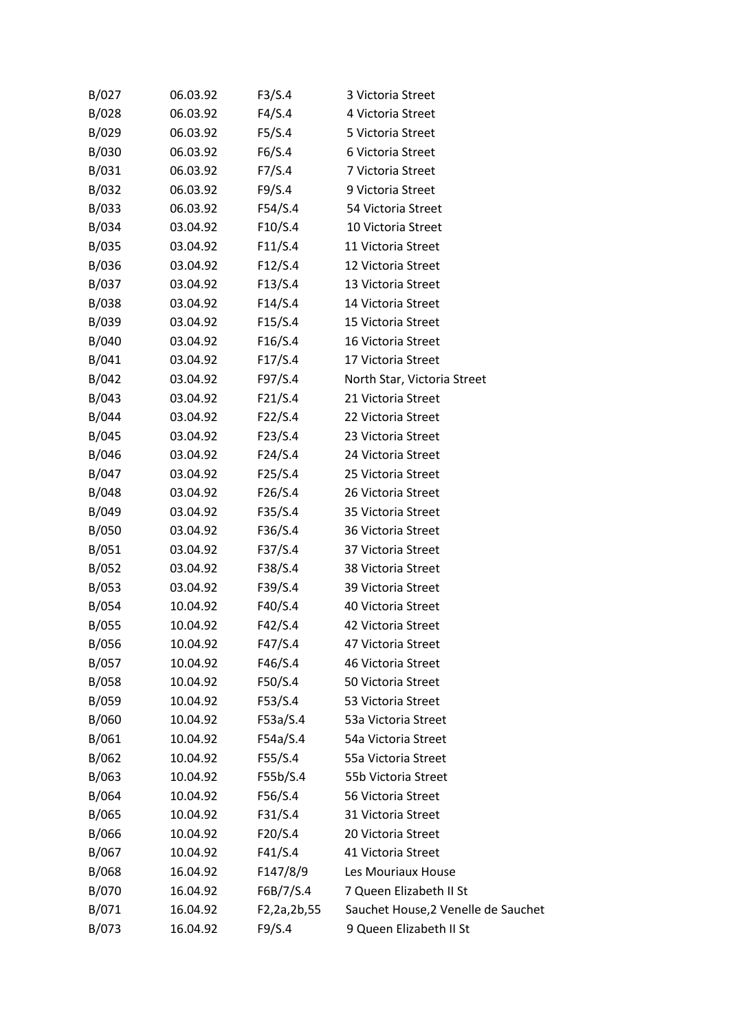| B/027 | 06.03.92 | F3/S.4      | 3 Victoria Street                   |
|-------|----------|-------------|-------------------------------------|
| B/028 | 06.03.92 | F4/S.4      | 4 Victoria Street                   |
| B/029 | 06.03.92 | F5/S.4      | 5 Victoria Street                   |
| B/030 | 06.03.92 | F6/S.4      | 6 Victoria Street                   |
| B/031 | 06.03.92 | F7/S.4      | 7 Victoria Street                   |
| B/032 | 06.03.92 | F9/S.4      | 9 Victoria Street                   |
| B/033 | 06.03.92 | F54/S.4     | 54 Victoria Street                  |
| B/034 | 03.04.92 | F10/S.4     | 10 Victoria Street                  |
| B/035 | 03.04.92 | F11/S.4     | 11 Victoria Street                  |
| B/036 | 03.04.92 | F12/S.4     | 12 Victoria Street                  |
| B/037 | 03.04.92 | F13/S.4     | 13 Victoria Street                  |
| B/038 | 03.04.92 | F14/S.4     | 14 Victoria Street                  |
| B/039 | 03.04.92 | F15/S.4     | 15 Victoria Street                  |
| B/040 | 03.04.92 | F16/S.4     | 16 Victoria Street                  |
| B/041 | 03.04.92 | F17/S.4     | 17 Victoria Street                  |
| B/042 | 03.04.92 | F97/S.4     | North Star, Victoria Street         |
| B/043 | 03.04.92 | F21/S.4     | 21 Victoria Street                  |
| B/044 | 03.04.92 | F22/S.4     | 22 Victoria Street                  |
| B/045 | 03.04.92 | F23/S.4     | 23 Victoria Street                  |
| B/046 | 03.04.92 | F24/S.4     | 24 Victoria Street                  |
| B/047 | 03.04.92 | F25/S.4     | 25 Victoria Street                  |
| B/048 | 03.04.92 | F26/S.4     | 26 Victoria Street                  |
| B/049 | 03.04.92 | F35/S.4     | 35 Victoria Street                  |
| B/050 | 03.04.92 | F36/S.4     | 36 Victoria Street                  |
| B/051 | 03.04.92 | F37/S.4     | 37 Victoria Street                  |
| B/052 | 03.04.92 | F38/S.4     | 38 Victoria Street                  |
| B/053 | 03.04.92 | F39/S.4     | 39 Victoria Street                  |
| B/054 | 10.04.92 | F40/S.4     | 40 Victoria Street                  |
| B/055 | 10.04.92 | F42/S.4     | 42 Victoria Street                  |
| B/056 | 10.04.92 | F47/S.4     | 47 Victoria Street                  |
| B/057 | 10.04.92 | F46/S.4     | 46 Victoria Street                  |
| B/058 | 10.04.92 | F50/S.4     | 50 Victoria Street                  |
| B/059 | 10.04.92 | F53/S.4     | 53 Victoria Street                  |
| B/060 | 10.04.92 | F53a/S.4    | 53a Victoria Street                 |
| B/061 | 10.04.92 | F54a/S.4    | 54a Victoria Street                 |
| B/062 | 10.04.92 | F55/S.4     | 55a Victoria Street                 |
| B/063 | 10.04.92 | F55b/S.4    | 55b Victoria Street                 |
| B/064 | 10.04.92 | F56/S.4     | 56 Victoria Street                  |
| B/065 | 10.04.92 | F31/S.4     | 31 Victoria Street                  |
| B/066 | 10.04.92 | F20/S.4     | 20 Victoria Street                  |
| B/067 | 10.04.92 | F41/S.4     | 41 Victoria Street                  |
| B/068 | 16.04.92 | F147/8/9    | Les Mouriaux House                  |
| B/070 | 16.04.92 | F6B/7/S.4   | 7 Queen Elizabeth II St             |
| B/071 | 16.04.92 | F2,2a,2b,55 | Sauchet House, 2 Venelle de Sauchet |
| B/073 | 16.04.92 | F9/S.4      | 9 Queen Elizabeth II St             |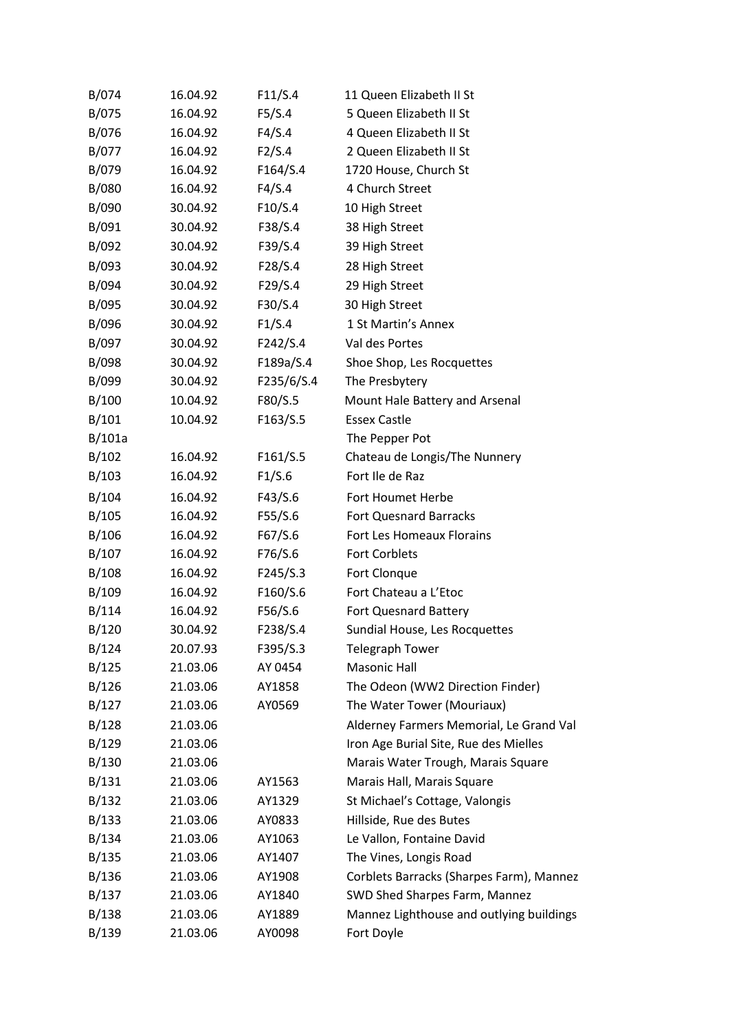| B/074  | 16.04.92 | F11/S.4    | 11 Queen Elizabeth II St                 |
|--------|----------|------------|------------------------------------------|
| B/075  | 16.04.92 | F5/S.4     | 5 Queen Elizabeth II St                  |
| B/076  | 16.04.92 | F4/S.4     | 4 Queen Elizabeth II St                  |
| B/077  | 16.04.92 | F2/S.4     | 2 Queen Elizabeth II St                  |
| B/079  | 16.04.92 | F164/S.4   | 1720 House, Church St                    |
| B/080  | 16.04.92 | F4/S.4     | 4 Church Street                          |
| B/090  | 30.04.92 | F10/S.4    | 10 High Street                           |
| B/091  | 30.04.92 | F38/S.4    | 38 High Street                           |
| B/092  | 30.04.92 | F39/S.4    | 39 High Street                           |
| B/093  | 30.04.92 | F28/S.4    | 28 High Street                           |
| B/094  | 30.04.92 | F29/S.4    | 29 High Street                           |
| B/095  | 30.04.92 | F30/S.4    | 30 High Street                           |
| B/096  | 30.04.92 | F1/S.4     | 1 St Martin's Annex                      |
| B/097  | 30.04.92 | F242/S.4   | Val des Portes                           |
| B/098  | 30.04.92 | F189a/S.4  | Shoe Shop, Les Rocquettes                |
| B/099  | 30.04.92 | F235/6/S.4 | The Presbytery                           |
| B/100  | 10.04.92 | F80/S.5    | Mount Hale Battery and Arsenal           |
| B/101  | 10.04.92 | F163/S.5   | <b>Essex Castle</b>                      |
| B/101a |          |            | The Pepper Pot                           |
| B/102  | 16.04.92 | F161/S.5   | Chateau de Longis/The Nunnery            |
| B/103  | 16.04.92 | F1/S.6     | Fort Ile de Raz                          |
| B/104  | 16.04.92 | F43/S.6    | Fort Houmet Herbe                        |
| B/105  | 16.04.92 | F55/S.6    | <b>Fort Quesnard Barracks</b>            |
| B/106  | 16.04.92 | F67/S.6    | Fort Les Homeaux Florains                |
| B/107  | 16.04.92 | F76/S.6    | <b>Fort Corblets</b>                     |
| B/108  | 16.04.92 | F245/S.3   | Fort Clonque                             |
| B/109  | 16.04.92 | F160/S.6   | Fort Chateau a L'Etoc                    |
| B/114  | 16.04.92 | F56/S.6    | Fort Quesnard Battery                    |
| B/120  | 30.04.92 | F238/S.4   | Sundial House, Les Rocquettes            |
| B/124  | 20.07.93 | F395/S.3   | <b>Telegraph Tower</b>                   |
| B/125  | 21.03.06 | AY 0454    | <b>Masonic Hall</b>                      |
| B/126  | 21.03.06 | AY1858     | The Odeon (WW2 Direction Finder)         |
| B/127  | 21.03.06 | AY0569     | The Water Tower (Mouriaux)               |
| B/128  | 21.03.06 |            | Alderney Farmers Memorial, Le Grand Val  |
| B/129  | 21.03.06 |            | Iron Age Burial Site, Rue des Mielles    |
| B/130  | 21.03.06 |            | Marais Water Trough, Marais Square       |
| B/131  | 21.03.06 | AY1563     | Marais Hall, Marais Square               |
| B/132  | 21.03.06 | AY1329     | St Michael's Cottage, Valongis           |
| B/133  | 21.03.06 | AY0833     | Hillside, Rue des Butes                  |
| B/134  | 21.03.06 | AY1063     | Le Vallon, Fontaine David                |
| B/135  | 21.03.06 | AY1407     | The Vines, Longis Road                   |
| B/136  | 21.03.06 | AY1908     | Corblets Barracks (Sharpes Farm), Mannez |
| B/137  | 21.03.06 | AY1840     | SWD Shed Sharpes Farm, Mannez            |
| B/138  | 21.03.06 | AY1889     | Mannez Lighthouse and outlying buildings |
| B/139  | 21.03.06 | AY0098     | Fort Doyle                               |